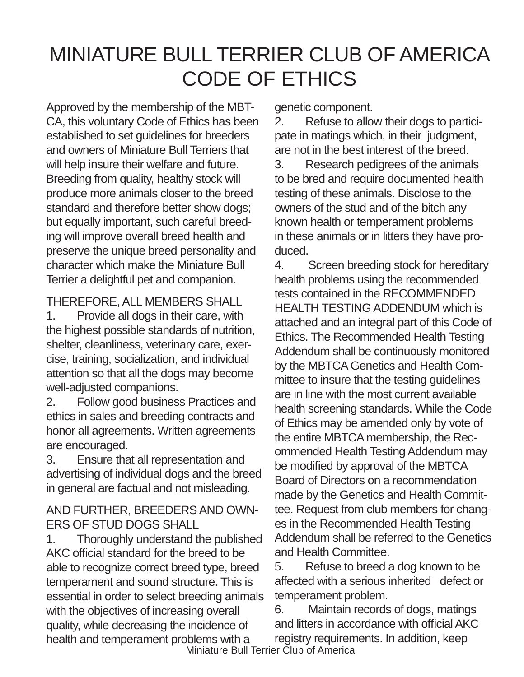## MINIATURE BULL TERRIER CLUB OF AMERICA CODE OF ETHICS

Approved by the membership of the MBT-CA, this voluntary Code of Ethics has been established to set guidelines for breeders and owners of Miniature Bull Terriers that will help insure their welfare and future. Breeding from quality, healthy stock will produce more animals closer to the breed standard and therefore better show dogs; but equally important, such careful breeding will improve overall breed health and preserve the unique breed personality and character which make the Miniature Bull Terrier a delightful pet and companion.

## THEREFORE, ALL MEMBERS SHALL

1. Provide all dogs in their care, with the highest possible standards of nutrition, shelter, cleanliness, veterinary care, exercise, training, socialization, and individual attention so that all the dogs may become well-adjusted companions.

2. Follow good business Practices and ethics in sales and breeding contracts and honor all agreements. Written agreements are encouraged.

3. Ensure that all representation and advertising of individual dogs and the breed in general are factual and not misleading.

## AND FURTHER, BREEDERS AND OWN-ERS OF STUD DOGS SHALL

1. Thoroughly understand the published AKC official standard for the breed to be able to recognize correct breed type, breed temperament and sound structure. This is essential in order to select breeding animals with the objectives of increasing overall quality, while decreasing the incidence of health and temperament problems with a

genetic component.

2. Refuse to allow their dogs to participate in matings which, in their judgment, are not in the best interest of the breed.

3. Research pedigrees of the animals to be bred and require documented health testing of these animals. Disclose to the owners of the stud and of the bitch any known health or temperament problems in these animals or in litters they have produced.

4. Screen breeding stock for hereditary health problems using the recommended tests contained in the RECOMMENDED HEALTH TESTING ADDENDUM which is attached and an integral part of this Code of Ethics. The Recommended Health Testing Addendum shall be continuously monitored by the MBTCA Genetics and Health Committee to insure that the testing guidelines are in line with the most current available health screening standards. While the Code of Ethics may be amended only by vote of the entire MBTCA membership, the Recommended Health Testing Addendum may be modified by approval of the MBTCA Board of Directors on a recommendation made by the Genetics and Health Committee. Request from club members for changes in the Recommended Health Testing Addendum shall be referred to the Genetics and Health Committee.

5. Refuse to breed a dog known to be affected with a serious inherited defect or temperament problem.

6. Maintain records of dogs, matings and litters in accordance with official AKC registry requirements. In addition, keep Miniature Bull Terrier Club of America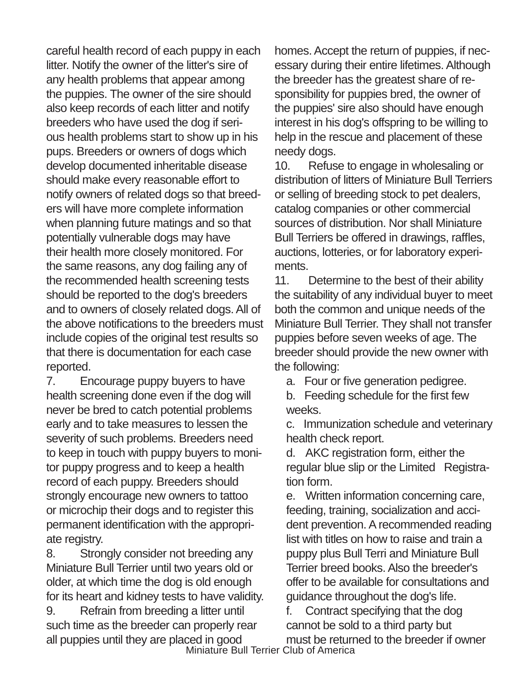careful health record of each puppy in each litter. Notify the owner of the litter's sire of any health problems that appear among the puppies. The owner of the sire should also keep records of each litter and notify breeders who have used the dog if serious health problems start to show up in his pups. Breeders or owners of dogs which develop documented inheritable disease should make every reasonable effort to notify owners of related dogs so that breeders will have more complete information when planning future matings and so that potentially vulnerable dogs may have their health more closely monitored. For the same reasons, any dog failing any of the recommended health screening tests should be reported to the dog's breeders and to owners of closely related dogs. All of the above notifications to the breeders must include copies of the original test results so that there is documentation for each case reported.

7. Encourage puppy buyers to have health screening done even if the dog will never be bred to catch potential problems early and to take measures to lessen the severity of such problems. Breeders need to keep in touch with puppy buyers to monitor puppy progress and to keep a health record of each puppy. Breeders should strongly encourage new owners to tattoo or microchip their dogs and to register this permanent identification with the appropriate registry.

8. Strongly consider not breeding any Miniature Bull Terrier until two years old or older, at which time the dog is old enough for its heart and kidney tests to have validity.

9. Refrain from breeding a litter until such time as the breeder can properly rear all puppies until they are placed in good

homes. Accept the return of puppies, if necessary during their entire lifetimes. Although the breeder has the greatest share of responsibility for puppies bred, the owner of the puppies' sire also should have enough interest in his dog's offspring to be willing to help in the rescue and placement of these needy dogs.

10. Refuse to engage in wholesaling or distribution of litters of Miniature Bull Terriers or selling of breeding stock to pet dealers, catalog companies or other commercial sources of distribution. Nor shall Miniature Bull Terriers be offered in drawings, raffles, auctions, lotteries, or for laboratory experiments.

11. Determine to the best of their ability the suitability of any individual buyer to meet both the common and unique needs of the Miniature Bull Terrier. They shall not transfer puppies before seven weeks of age. The breeder should provide the new owner with the following:

a. Four or five generation pedigree.

b. Feeding schedule for the first few weeks.

c. Immunization schedule and veterinary health check report.

d. AKC registration form, either the regular blue slip or the Limited Registration form.

e. Written information concerning care, feeding, training, socialization and accident prevention. A recommended reading list with titles on how to raise and train a puppy plus Bull Terri and Miniature Bull Terrier breed books. Also the breeder's offer to be available for consultations and guidance throughout the dog's life.

f. Contract specifying that the dog cannot be sold to a third party but ced in good **must be returned to the breeder if owner**<br>Miniature Bull Terrier Club of America